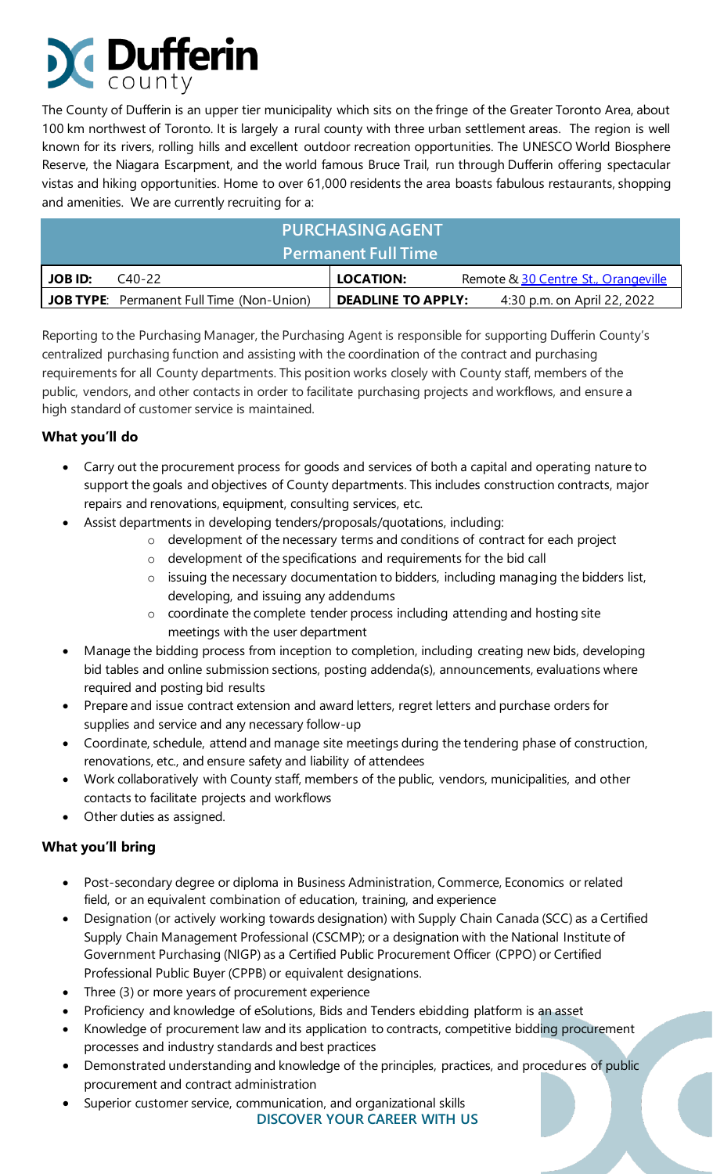# **Dufferin**

The County of Dufferin is an upper tier municipality which sits on the fringe of the Greater Toronto Area, about 100 km northwest of Toronto. It is largely a rural county with three urban settlement areas. The region is well known for its rivers, rolling hills and excellent outdoor recreation opportunities. The UNESCO World Biosphere Reserve, the Niagara Escarpment, and the world famous Bruce Trail, run through Dufferin offering spectacular vistas and hiking opportunities. Home to over 61,000 residents the area boasts fabulous restaurants, shopping and amenities. We are currently recruiting for a:

| <b>PURCHASING AGENT</b><br><b>Permanent Full Time</b> |                                                  |                                                          |
|-------------------------------------------------------|--------------------------------------------------|----------------------------------------------------------|
| <b>JOB ID:</b>                                        | $C_{40-22}$                                      | LOCATION:<br>Remote & 30 Centre St., Orangeville         |
|                                                       | <b>JOB TYPE:</b> Permanent Full Time (Non-Union) | <b>DEADLINE TO APPLY:</b><br>4:30 p.m. on April 22, 2022 |

Reporting to the Purchasing Manager, the Purchasing Agent is responsible for supporting Dufferin County's centralized purchasing function and assisting with the coordination of the contract and purchasing requirements for all County departments. This position works closely with County staff, members of the public, vendors, and other contacts in order to facilitate purchasing projects and workflows, and ensure a high standard of customer service is maintained.

### **What you'll do**

- Carry out the procurement process for goods and services of both a capital and operating nature to support the goals and objectives of County departments. This includes construction contracts, major repairs and renovations, equipment, consulting services, etc.
- Assist departments in developing tenders/proposals/quotations, including:
	- o development of the necessary terms and conditions of contract for each project
	- o development of the specifications and requirements for the bid call
	- o issuing the necessary documentation to bidders, including managing the bidders list, developing, and issuing any addendums
	- o coordinate the complete tender process including attending and hosting site meetings with the user department
- Manage the bidding process from inception to completion, including creating new bids, developing bid tables and online submission sections, posting addenda(s), announcements, evaluations where required and posting bid results
- Prepare and issue contract extension and award letters, regret letters and purchase orders for supplies and service and any necessary follow-up
- Coordinate, schedule, attend and manage site meetings during the tendering phase of construction, renovations, etc., and ensure safety and liability of attendees
- Work collaboratively with County staff, members of the public, vendors, municipalities, and other contacts to facilitate projects and workflows
- Other duties as assigned.

## **What you'll bring**

- Post-secondary degree or diploma in Business Administration, Commerce, Economics or related field, or an equivalent combination of education, training, and experience
- Designation (or actively working towards designation) with Supply Chain Canada (SCC) as a Certified Supply Chain Management Professional (CSCMP); or a designation with the National Institute of Government Purchasing (NIGP) as a Certified Public Procurement Officer (CPPO) or Certified Professional Public Buyer (CPPB) or equivalent designations.
- Three (3) or more years of procurement experience
- Proficiency and knowledge of eSolutions, Bids and Tenders ebidding platform is an asset
- Knowledge of procurement law and its application to contracts, competitive bidding procurement processes and industry standards and best practices
- Demonstrated understanding and knowledge of the principles, practices, and procedures of public procurement and contract administration
- **DISCOVER YOUR CAREER WITH US** Superior customer service, communication, and organizational skills